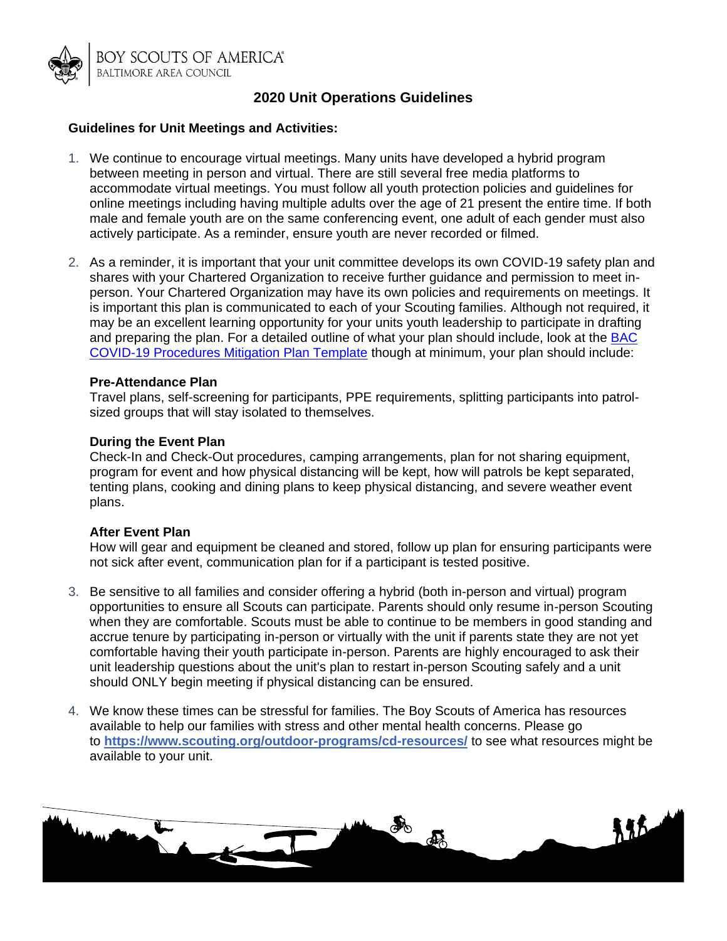

# **2020 Unit Operations Guidelines**

## **Guidelines for Unit Meetings and Activities:**

- 1. We continue to encourage virtual meetings. Many units have developed a hybrid program between meeting in person and virtual. There are still several free media platforms to accommodate virtual meetings. You must follow all youth protection policies and guidelines for online meetings including having multiple adults over the age of 21 present the entire time. If both male and female youth are on the same conferencing event, one adult of each gender must also actively participate. As a reminder, ensure youth are never recorded or filmed.
- 2. As a reminder, it is important that your unit committee develops its own COVID-19 safety plan and shares with your Chartered Organization to receive further guidance and permission to meet inperson. Your Chartered Organization may have its own policies and requirements on meetings. It is important this plan is communicated to each of your Scouting families. Although not required, it may be an excellent learning opportunity for your units youth leadership to participate in drafting and preparing the plan. For a detailed outline of what your plan should include, look at the **BAC** [COVID-19 Procedures Mitigation Plan Template](http://www.baltimorebsa.org/document/broad-creek-memorial-scout-reservation-covid-19-campers-and-camp-events-guide/201026) though at minimum, your plan should include:

### **Pre-Attendance Plan**

Travel plans, self-screening for participants, PPE requirements, splitting participants into patrolsized groups that will stay isolated to themselves.

### **During the Event Plan**

Check-In and Check-Out procedures, camping arrangements, plan for not sharing equipment, program for event and how physical distancing will be kept, how will patrols be kept separated, tenting plans, cooking and dining plans to keep physical distancing, and severe weather event plans.

### **After Event Plan**

How will gear and equipment be cleaned and stored, follow up plan for ensuring participants were not sick after event, communication plan for if a participant is tested positive.

- 3. Be sensitive to all families and consider offering a hybrid (both in-person and virtual) program opportunities to ensure all Scouts can participate. Parents should only resume in-person Scouting when they are comfortable. Scouts must be able to continue to be members in good standing and accrue tenure by participating in-person or virtually with the unit if parents state they are not yet comfortable having their youth participate in-person. Parents are highly encouraged to ask their unit leadership questions about the unit's plan to restart in-person Scouting safely and a unit should ONLY begin meeting if physical distancing can be ensured.
- 4. We know these times can be stressful for families. The Boy Scouts of America has resources available to help our families with stress and other mental health concerns. Please go to **<https://www.scouting.org/outdoor-programs/cd-resources/>** to see what resources might be available to your unit.

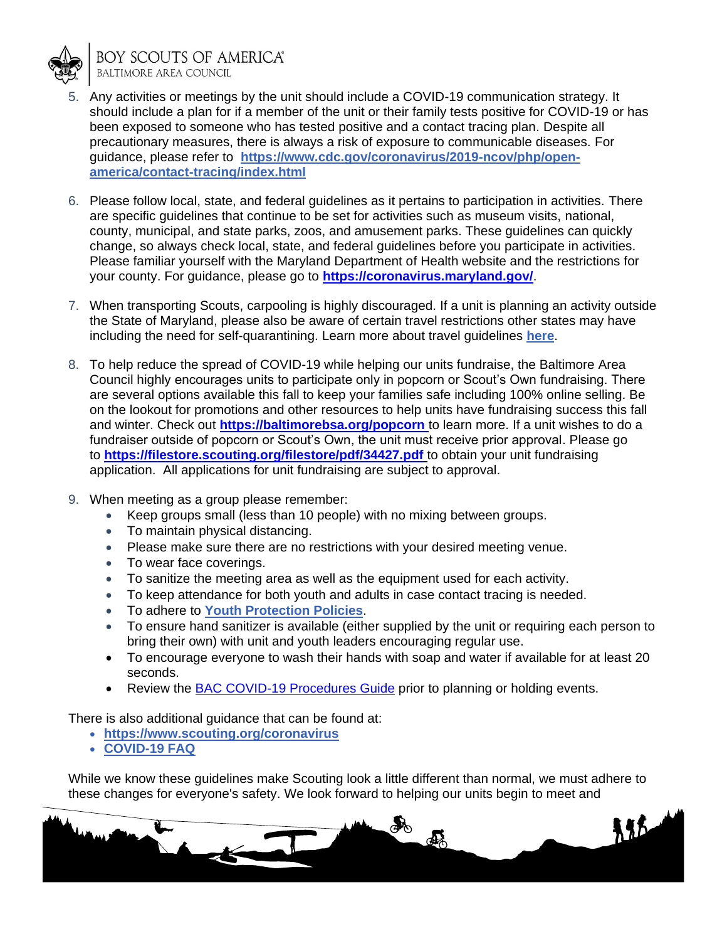

**BOY SCOUTS OF AMERICA® BALTIMORE AREA COUNCIL** 

- 5. Any activities or meetings by the unit should include a COVID-19 communication strategy. It should include a plan for if a member of the unit or their family tests positive for COVID-19 or has been exposed to someone who has tested positive and a contact tracing plan. Despite all precautionary measures, there is always a risk of exposure to communicable diseases. For guidance, please refer to **[https://www.cdc.gov/coronavirus/2019-ncov/php/open](https://www.cdc.gov/coronavirus/2019-ncov/php/open-america/contact-tracing/index.html)[america/contact-tracing/index.html](https://www.cdc.gov/coronavirus/2019-ncov/php/open-america/contact-tracing/index.html)**
- 6. Please follow local, state, and federal guidelines as it pertains to participation in activities. There are specific guidelines that continue to be set for activities such as museum visits, national, county, municipal, and state parks, zoos, and amusement parks. These guidelines can quickly change, so always check local, state, and federal guidelines before you participate in activities. Please familiar yourself with the Maryland Department of Health website and the restrictions for your county. For guidance, please go to **<https://coronavirus.maryland.gov/>**.
- 7. When transporting Scouts, carpooling is highly discouraged. If a unit is planning an activity outside the State of Maryland, please also be aware of certain travel restrictions other states may have including the need for self-quarantining. Learn more about travel guidelines **[here](https://phpa.health.maryland.gov/Documents/07.29.2020%20-%20MDH%20Notice%20-%20Out%20of%20State%20Travel%20Advisory.pdf)**.
- 8. To help reduce the spread of COVID-19 while helping our units fundraise, the Baltimore Area Council highly encourages units to participate only in popcorn or Scout's Own fundraising. There are several options available this fall to keep your families safe including 100% online selling. Be on the lookout for promotions and other resources to help units have fundraising success this fall and winter. Check out **[https://baltimorebsa.org/popcorn](https://baltimorebsa.org/popcorn )** to learn more. If a unit wishes to do a fundraiser outside of popcorn or Scout's Own, the unit must receive prior approval. Please go to **<https://filestore.scouting.org/filestore/pdf/34427.pdf>** to obtain your unit fundraising application. All applications for unit fundraising are subject to approval.
- 9. When meeting as a group please remember:
	- Keep groups small (less than 10 people) with no mixing between groups.
	- To maintain physical distancing.
	- Please make sure there are no restrictions with your desired meeting venue.
	- To wear face coverings.
	- To sanitize the meeting area as well as the equipment used for each activity.
	- To keep attendance for both youth and adults in case contact tracing is needed.
	- To adhere to **[Youth Protection Policies](https://www.scouting.org/health-and-safety/gss/gss01/)**.
	- To ensure hand sanitizer is available (either supplied by the unit or requiring each person to bring their own) with unit and youth leaders encouraging regular use.
	- To encourage everyone to wash their hands with soap and water if available for at least 20 seconds.
	- Review the [BAC COVID-19 Procedures Guide](http://www.baltimorebsa.org/document/broad-creek-memorial-scout-reservation-covid-19-campers-and-camp-events-guide/201026) prior to planning or holding events.

There is also additional guidance that can be found at:

- **<https://www.scouting.org/coronavirus>**
- **[COVID-19 FAQ](https://www.scouting.org/coronavirus/covid-19-faq/)**

While we know these guidelines make Scouting look a little different than normal, we must adhere to these changes for everyone's safety. We look forward to helping our units begin to meet and